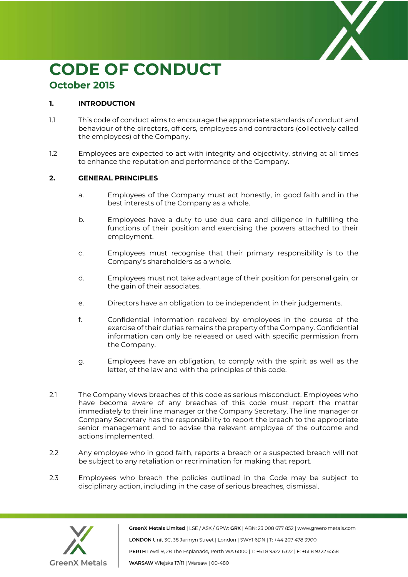

# **CODE OF CONDUCT October 2015**

## **1. INTRODUCTION**

- 1.1 This code of conduct aims to encourage the appropriate standards of conduct and behaviour of the directors, officers, employees and contractors (collectively called the employees) of the Company.
- 1.2 Employees are expected to act with integrity and objectivity, striving at all times to enhance the reputation and performance of the Company.

# **2. GENERAL PRINCIPLES**

- a. Employees of the Company must act honestly, in good faith and in the best interests of the Company as a whole.
- b. Employees have a duty to use due care and diligence in fulfilling the functions of their position and exercising the powers attached to their employment.
- c. Employees must recognise that their primary responsibility is to the Company's shareholders as a whole.
- d. Employees must not take advantage of their position for personal gain, or the gain of their associates.
- e. Directors have an obligation to be independent in their judgements.
- f. Confidential information received by employees in the course of the exercise of their duties remains the property of the Company. Confidential information can only be released or used with specific permission from the Company.
- g. Employees have an obligation, to comply with the spirit as well as the letter, of the law and with the principles of this code.
- 2.1 The Company views breaches of this code as serious misconduct. Employees who have become aware of any breaches of this code must report the matter immediately to their line manager or the Company Secretary. The line manager or Company Secretary has the responsibility to report the breach to the appropriate senior management and to advise the relevant employee of the outcome and actions implemented.
- 2.2 Any employee who in good faith, reports a breach or a suspected breach will not be subject to any retaliation or recrimination for making that report.
- 2.3 Employees who breach the policies outlined in the Code may be subject to disciplinary action, including in the case of serious breaches, dismissal.



GreenX Metals Limited | LSE / ASX / GPW: GRX | ABN: 23 008 677 852 | www.greenxmetals.com LONDON Unit 3C, 38 Jermyn Street | London | SWY1 6DN | T: +44 207 478 3900 PERTH Level 9, 28 The Esplanade, Perth WA 6000 | T: +61 8 9322 6322 | F: +61 8 9322 6558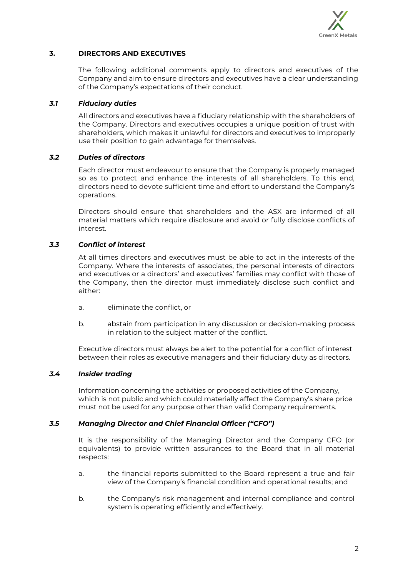

#### **3. DIRECTORS AND EXECUTIVES**

The following additional comments apply to directors and executives of the Company and aim to ensure directors and executives have a clear understanding of the Company's expectations of their conduct.

#### *3.1 Fiduciary duties*

All directors and executives have a fiduciary relationship with the shareholders of the Company. Directors and executives occupies a unique position of trust with shareholders, which makes it unlawful for directors and executives to improperly use their position to gain advantage for themselves.

#### *3.2 Duties of directors*

Each director must endeavour to ensure that the Company is properly managed so as to protect and enhance the interests of all shareholders. To this end, directors need to devote sufficient time and effort to understand the Company's operations.

Directors should ensure that shareholders and the ASX are informed of all material matters which require disclosure and avoid or fully disclose conflicts of interest.

#### *3.3 Conflict of interest*

At all times directors and executives must be able to act in the interests of the Company. Where the interests of associates, the personal interests of directors and executives or a directors' and executives' families may conflict with those of the Company, then the director must immediately disclose such conflict and either:

- a. eliminate the conflict, or
- b. abstain from participation in any discussion or decision-making process in relation to the subject matter of the conflict.

Executive directors must always be alert to the potential for a conflict of interest between their roles as executive managers and their fiduciary duty as directors.

#### *3.4 Insider trading*

Information concerning the activities or proposed activities of the Company, which is not public and which could materially affect the Company's share price must not be used for any purpose other than valid Company requirements.

#### *3.5 Managing Director and Chief Financial Officer ("CFO")*

It is the responsibility of the Managing Director and the Company CFO (or equivalents) to provide written assurances to the Board that in all material respects:

- a. the financial reports submitted to the Board represent a true and fair view of the Company's financial condition and operational results; and
- b. the Company's risk management and internal compliance and control system is operating efficiently and effectively.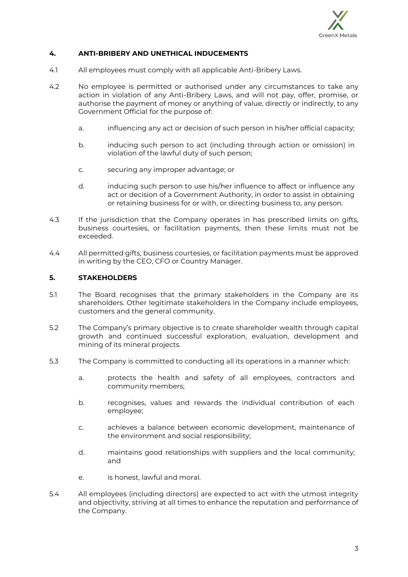

#### **4. ANTI-BRIBERY AND UNETHICAL INDUCEMENTS**

- 4.1 All employees must comply with all applicable Anti-Bribery Laws.
- 4.2 No employee is permitted or authorised under any circumstances to take any action in violation of any Anti-Bribery Laws, and will not pay, offer, promise, or authorise the payment of money or anything of value, directly or indirectly, to any Government Official for the purpose of:
	- a. influencing any act or decision of such person in his/her official capacity;
	- b. inducing such person to act (including through action or omission) in violation of the lawful duty of such person;
	- c. securing any improper advantage; or
	- d. inducing such person to use his/her influence to affect or influence any act or decision of a Government Authority, in order to assist in obtaining or retaining business for or with, or directing business to, any person.
- 4.3 If the jurisdiction that the Company operates in has prescribed limits on gifts, business courtesies, or facilitation payments, then these limits must not be exceeded.
- 4.4 All permitted gifts, business courtesies, or facilitation payments must be approved in writing by the CEO, CFO or Country Manager.

### **5. STAKEHOLDERS**

- 5.1 The Board recognises that the primary stakeholders in the Company are its shareholders. Other legitimate stakeholders in the Company include employees, customers and the general community.
- 5.2 The Company's primary objective is to create shareholder wealth through capital growth and continued successful exploration, evaluation, development and mining of its mineral projects.
- 5.3 The Company is committed to conducting all its operations in a manner which:
	- a. protects the health and safety of all employees, contractors and community members;
	- b. recognises, values and rewards the individual contribution of each employee;
	- c. achieves a balance between economic development, maintenance of the environment and social responsibility;
	- d. maintains good relationships with suppliers and the local community; and
	- e. is honest, lawful and moral.
- 5.4 All employees (including directors) are expected to act with the utmost integrity and objectivity, striving at all times to enhance the reputation and performance of the Company.